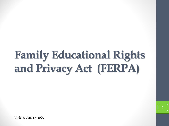# **Family Educational Rights and Privacy Act (FERPA)**

Updated January 2020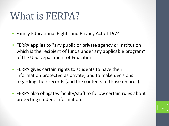## What is FERPA?

- Family Educational Rights and Privacy Act of 1974
- FERPA applies to "any public or private agency or institution which is the recipient of funds under any applicable program" of the U.S. Department of Education.
- FERPA gives certain rights to students to have their information protected as private, and to make decisions regarding their records (and the contents of those records).
- FERPA also obligates faculty/staff to follow certain rules about protecting student information.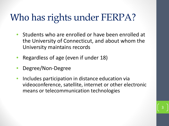## Who has rights under FERPA?

- Students who are enrolled or have been enrolled at the University of Connecticut, and about whom the University maintains records
- Regardless of age (even if under 18)
- Degree/Non-Degree
- Includes participation in distance education via videoconference, satellite, internet or other electronic means or telecommunication technologies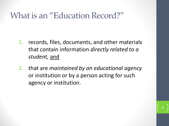#### What is an "Education Record?"

- 1. records, files, documents, and other materials that contain information *directly related to a student,* and
- 2. that are *maintained by an educational agency* or institution or by a person acting for such agency or institution.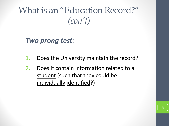What is an "Education Record?" *(con't)*

*Two prong test:*

- 1. Does the University maintain the record?
- 2. Does it contain information related to a student (such that they could be individually identified?)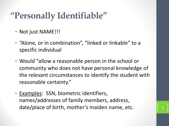### **"Personally Identifiable"**

- Not just NAME!!!
- "Alone, or in combination", "linked or linkable" to a specific individual
- Would "allow a reasonable person in the school or community who does not have personal knowledge of the relevant circumstances to identify the student with reasonable certainty."
- Examples: SSN, biometric identifiers, names/addresses of family members, address, date/place of birth, mother's maiden name, etc.

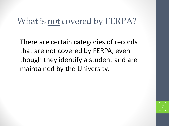#### What is not covered by FERPA?

There are certain categories of records that are not covered by FERPA, even though they identify a student and are maintained by the University.

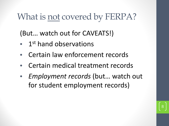#### What is not covered by FERPA?

(But… watch out for CAVEATS!)

- 1<sup>st</sup> hand observations
- Certain law enforcement records
- Certain medical treatment records
- *Employment records* (but… watch out for student employment records)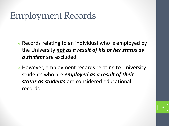### Employment Records

- Records relating to an individual who is employed by the University *not as a result of his or her status as a student* are excluded.
- However, employment records relating to University students who are *employed as a result of their status as students* are considered educational records.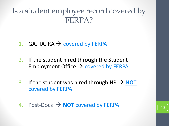#### Is a student employee record covered by FERPA?

- 1. GA, TA,  $RA \rightarrow$  covered by FERPA
- 2. If the student hired through the Student Employment Office  $\rightarrow$  covered by FERPA
- 3. If the student was hired through  $HR \rightarrow NOT$ covered by FERPA.
- 4. Post-Docs  $\rightarrow$  **NOT** covered by FERPA.

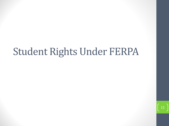## Student Rights Under FERPA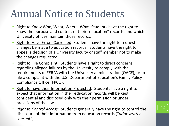## Annual Notice to Students

- Right to Know Who, What, Where, Why: Students have the right to know the purpose and content of their "education" records, and which University offices maintain those records.
- Right to Have Errors Corrected: Students have the right to request changes be made to education records. Students have the right to appeal a decision of a University faculty or staff member not to make the changes requested.
- Right to File Complaint: Students have a right to direct concerns regarding alleged failures by the University to comply with the requirements of FERPA with the University administration (OACE), or to file a complaint with the U.S. Department of Education's Family Policy Compliance Office (FPCO).
- Right to have their Information Protected: Students have a right to expect that information in their education records will be kept confidential and disclosed only with their permission or under provisions of the law.
- *Right to Control Access*: Students generally have the right to control the disclosure of their information from education records ("*prior written consent*").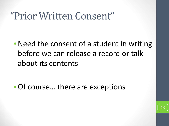## "Prior Written Consent"

• Need the consent of a student in writing before we can release a record or talk about its contents

• Of course... there are exceptions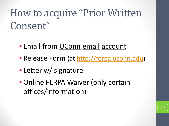## How to acquire "Prior Written Consent"

- Email from UConn email account
- Release Form (at [http://ferpa.uconn.edu](http://ferpa.uconn.edu/))
- Letter w/ signature
- Online FERPA Waiver (only certain offices/information)

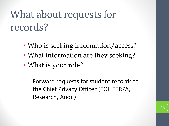## What about requests for records?

- Who is seeking information/access?
- What information are they seeking?
- What is your role?

Forward requests for student records to the Chief Privacy Officer (FOI, FERPA, Research, Audit)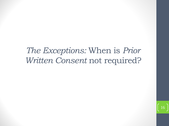#### *The Exceptions:* When is *Prior Written Consent* not required?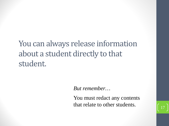You can always release information about a student directly to that student.

*But remember…* 

You must redact any contents that relate to other students.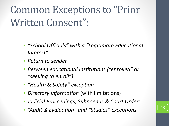## Common Exceptions to "Prior Written Consent":

- *"School Officials" with a "Legitimate Educational Interest"*
- *Return to sender*
- *Between educational institutions ("enrolled" or "seeking to enroll")*
- *"Health & Safety" exception*
- *Directory Information* (with limitations)
- *Judicial Proceedings, Subpoenas & Court Orders*
- *"Audit & Evaluation" and "Studies" exceptions* <sup>18</sup>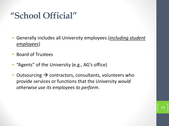### **"School Official"**

- Generally includes all University employees (*including student employees*)
- Board of Trustees
- "Agents" of the University (e.g., AG's office)
- Outsourcing  $\rightarrow$  contractors, consultants, volunteers who provide services or functions that the University *would otherwise use its employees to perform*.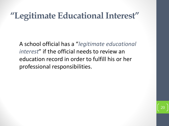#### **"Legitimate Educational Interest"**

A school official has a "*legitimate educational interest*" if the official needs to review an education record in order to fulfill his or her professional responsibilities.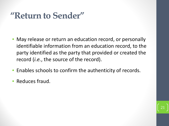#### **"Return to Sender"**

- May release or return an education record, or personally identifiable information from an education record, to the party identified as the party that provided or created the record (*i.e.*, the source of the record).
- Enables schools to confirm the authenticity of records.
- Reduces fraud.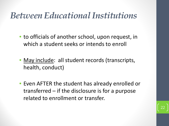#### *Between Educational Institutions*

- to officials of another school, upon request, in which a student seeks or intends to enroll
- May include: all student records (transcripts, health, conduct)
- Even AFTER the student has already enrolled or transferred – if the disclosure is for a purpose related to enrollment or transfer.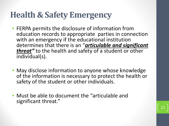#### **Health & Safety Emergency**

- FERPA permits the disclosure of information from education records to appropriate parties in connection with an emergency if the educational institution determines that there is an "*articulable and significant threat"* to the health and safety of a student or other individual(s).
- May disclose information to anyone whose knowledge of the information is necessary to protect the health or safety of the student or other individuals.
- Must be able to document the "articulable and significant threat."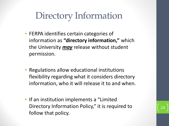## Directory Information

- FERPA identifies certain categories of information as **"directory information,"** which the University *may* release without student permission.
- Regulations allow educational institutions flexibility regarding what it considers directory information, who it will release it to and when.
- If an institution implements a "Limited Directory Information Policy," it is required to follow that policy.

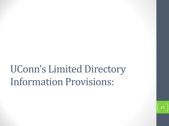## UConn's Limited Directory Information Provisions: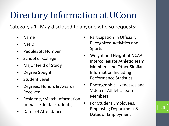## Directory Information at UConn

Category #1--May disclosed to anyone who so requests:

- Name
- NetID
- PeopleSoft Number
- School or College
- Major Field of Study
- Degree Sought
- Student Level
- Degrees, Honors & Awards Received
- Residency/Match Information (medical/dental students)
- Dates of Attendance
- Participation in Officially Recognized Activities and Sports
- Weight and Height of NCAA Intercollegiate Athletic Team Members and Other Similar Information Including Performance Statistics
- Photographic Likenesses and Video of Athletic Team Members
- For Student Employees, Employing Department & Dates of Employment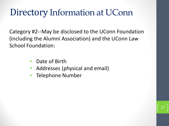#### Directory Information at UConn

Category #2--May be disclosed to the UConn Foundation (including the Alumni Association) and the UConn Law School Foundation:

- Date of Birth
- Addresses (physical and email)
- Telephone Number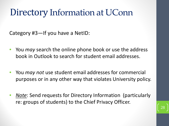#### Directory Information at UConn

Category #3—If you have a NetID:

- You *may* search the online phone book or use the address book in Outlook to search for student email addresses.
- You *may not* use student email addresses for commercial purposes or in any other way that violates University policy.
- *Note*: Send requests for Directory Information (particularly re: groups of students) to the Chief Privacy Officer.

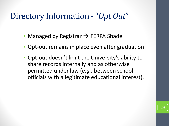#### Directory Information -"*Opt Out*"

- Managed by Registrar  $\rightarrow$  FERPA Shade
- Opt-out remains in place even after graduation
- Opt-out doesn't limit the University's ability to share records internally and as otherwise permitted under law (*e.g.,* between school officials with a legitimate educational interest).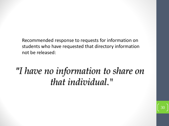Recommended response to requests for information on students who have requested that directory information not be released:

## *"I have no information to share on that individual."*

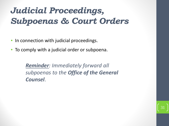### *Judicial Proceedings, Subpoenas & Court Orders*

- In connection with judicial proceedings.
- To comply with a judicial order or subpoena.

*Reminder: Immediately forward all subpoenas to the Office of the General Counsel*.

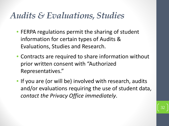#### *Audits & Evaluations, Studies*

- FERPA regulations permit the sharing of student information for certain types of Audits & Evaluations, Studies and Research.
- Contracts are required to share information without prior written consent with "Authorized Representatives."
- If you are (or will be) involved with research, audits and/or evaluations requiring the use of student data, *contact the Privacy Office immediately*.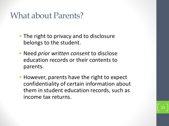#### What about Parents?

- The right to privacy and to disclosure belongs to the student.
- Need *prior written consent* to disclose education records or their contents to parents.
- However, parents have the right to expect confidentiality of certain information about them in student education records, such as income tax returns.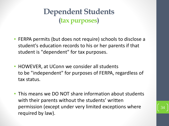**Dependent Students (tax purposes)**

- FERPA permits (but does not require) schools to disclose a student's education records to his or her parents if that student is "dependent" for tax purposes.
- HOWEVER, at UConn we consider all students to be "independent" for purposes of FERPA, regardless of tax status.
- This means we DO NOT share information about students with their parents without the students' written permission (except under very limited exceptions where required by law).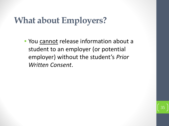### **What about Employers?**

• You cannot release information about a student to an employer (or potential employer) without the student's *Prior Written Consent*.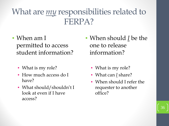#### What are *my* responsibilities related to FERPA?

- When am I permitted to access student information?
	- What is my role?
	- How much access do I have?
	- What should/shouldn't I look at even if I have access?
- When should *I* be the one to release information?
	- What is my role?
	- What can *I* share?
	- When should I refer the requester to another office?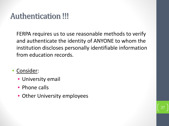#### Authentication !!!

FERPA requires us to use reasonable methods to verify and authenticate the identity of ANYONE to whom the institution discloses personally identifiable information from education records.

- Consider:
	- University email
	- Phone calls
	- Other University employees

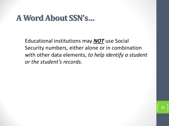#### **A Word About SSN's…**

Educational institutions may *NOT* use Social Security numbers, either alone or in combination with other data elements, *to help identify a student or the student's records.*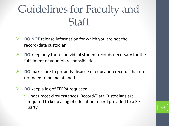## Guidelines for Faculty and **Staff**

- **DO NOT** release information for which you are not the record/data custodian.
- **DO** keep only those individual student records necessary for the fulfillment of your job responsibilities.
- **DO** make sure to properly dispose of education records that do not need to be maintained.
- **DO** keep a log of FERPA requests:
	- Under most circumstances, Record/Data Custodians are required to keep a log of education record provided to a 3rd party. The same state of the state of the state of the state of the state of the state of the state of the state of the state of the state of the state of the state of the state of the state of the state of the state of th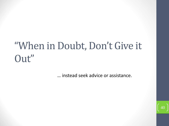## "When in Doubt, Don't Give it Out"

… instead seek advice or assistance.